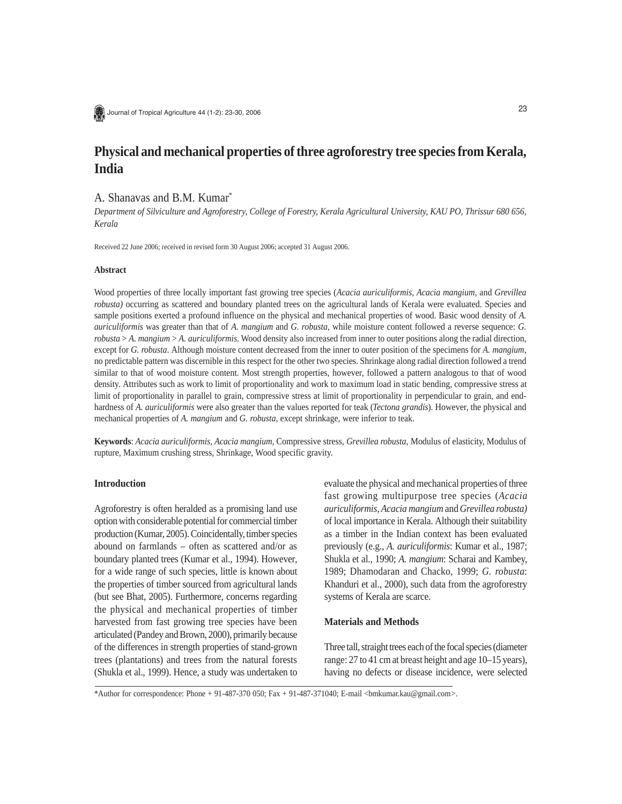Journal of Tropical Agriculture 44 (1-2): 23-30, 2006

# **Physical and mechanical properties of three agroforestry tree species from Kerala, India**

## A. Shanavas and B.M. Kumar\*

*Department of Silviculture and Agroforestry, College of Forestry, Kerala Agricultural University, KAU PO, Thrissur 680 656, Kerala*

Received 22 June 2006; received in revised form 30 August 2006; accepted 31 August 2006.

## **Abstract**

Wood properties of three locally important fast growing tree species (*Acacia auriculiformis, Acacia mangium,* and *Grevillea robusta)* occurring as scattered and boundary planted trees on the agricultural lands of Kerala were evaluated. Species and sample positions exerted a profound influence on the physical and mechanical properties of wood. Basic wood density of *A. auriculiformis* was greater than that of *A. mangium* and *G. robusta,* while moisture content followed a reverse sequence: *G. robusta* > *A. mangium* > *A. auriculiformis*. Wood density also increased from inner to outer positions along the radial direction, except for *G. robusta*. Although moisture content decreased from the inner to outer position of the specimens for *A. mangium*, no predictable pattern was discernible in this respect for the other two species. Shrinkage along radial direction followed a trend similar to that of wood moisture content. Most strength properties, however, followed a pattern analogous to that of wood density. Attributes such as work to limit of proportionality and work to maximum load in static bending, compressive stress at limit of proportionality in parallel to grain, compressive stress at limit of proportionality in perpendicular to grain, and endhardness of *A. auriculiformis* were also greater than the values reported for teak (*Tectona grandis*). However, the physical and mechanical properties of *A. mangium* and *G. robusta*, except shrinkage, were inferior to teak.

**Keywords**: *Acacia auriculiformis, Acacia mangium,* Compressive stress, *Grevillea robusta,* Modulus of elasticity, Modulus of rupture, Maximum crushing stress, Shrinkage, Wood specific gravity.

## **Introduction**

Agroforestry is often heralded as a promising land use option with considerable potential for commercial timber production (Kumar, 2005). Coincidentally, timber species abound on farmlands – often as scattered and/or as boundary planted trees (Kumar et al., 1994). However, for a wide range of such species, little is known about the properties of timber sourced from agricultural lands (but see Bhat, 2005). Furthermore, concerns regarding the physical and mechanical properties of timber harvested from fast growing tree species have been articulated (Pandey and Brown, 2000), primarily because of the differences in strength properties of stand-grown trees (plantations) and trees from the natural forests (Shukla et al., 1999). Hence, a study was undertaken to evaluate the physical and mechanical properties of three fast growing multipurpose tree species (*Acacia auriculiformis, Acacia mangium* and *Grevillea robusta)* of local importance in Kerala. Although their suitability as a timber in the Indian context has been evaluated previously (e.g., *A. auriculiformis*: Kumar et al., 1987; Shukla et al., 1990; *A. mangium*: Scharai and Kambey, 1989; Dhamodaran and Chacko, 1999; *G. robusta*: Khanduri et al., 2000), such data from the agroforestry systems of Kerala are scarce.

#### **Materials and Methods**

Three tall, straight trees each of the focal species (diameter range: 27 to 41 cm at breast height and age 10–15 years), having no defects or disease incidence, were selected

\*Author for correspondence: Phone + 91-487-370 050; Fax + 91-487-371040; E-mail <bmkumar.kau@gmail.com*>.*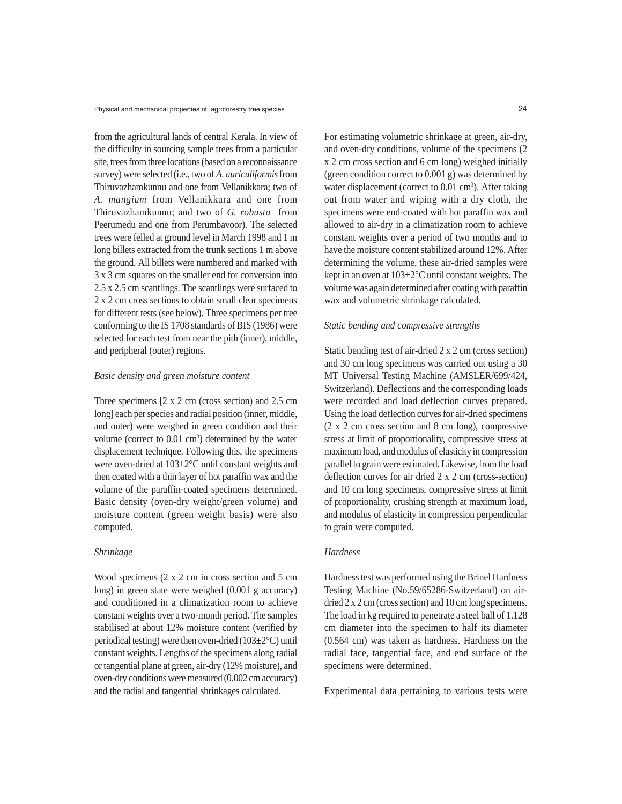Physical and mechanical properties of agroforestry tree species 24

from the agricultural lands of central Kerala. In view of the difficulty in sourcing sample trees from a particular site, trees from three locations (based on a reconnaissance survey) were selected (i.e., two of *A. auriculiformis* from Thiruvazhamkunnu and one from Vellanikkara; two of *A. mangium* from Vellanikkara and one from Thiruvazhamkunnu; and two of *G. robusta* from Peerumedu and one from Perumbavoor). The selected trees were felled at ground level in March 1998 and 1 m long billets extracted from the trunk sections 1 m above the ground. All billets were numbered and marked with 3 x 3 cm squares on the smaller end for conversion into 2.5 x 2.5 cm scantlings. The scantlings were surfaced to 2 x 2 cm cross sections to obtain small clear specimens for different tests (see below). Three specimens per tree conforming to the IS 1708 standards of BIS (1986) were selected for each test from near the pith (inner), middle, and peripheral (outer) regions.

## *Basic density and green moisture content*

Three specimens [2 x 2 cm (cross section) and 2.5 cm long] each per species and radial position (inner, middle, and outer) were weighed in green condition and their volume (correct to  $0.01 \text{ cm}^3$ ) determined by the water displacement technique. Following this, the specimens were oven-dried at 103±2°C until constant weights and then coated with a thin layer of hot paraffin wax and the volume of the paraffin-coated specimens determined. Basic density (oven-dry weight/green volume) and moisture content (green weight basis) were also computed.

# *Shrinkage*

Wood specimens (2 x 2 cm in cross section and 5 cm long) in green state were weighed (0.001 g accuracy) and conditioned in a climatization room to achieve constant weights over a two-month period. The samples stabilised at about 12% moisture content (verified by periodical testing) were then oven-dried (103±2°C) until constant weights. Lengths of the specimens along radial or tangential plane at green, air-dry (12% moisture), and oven-dry conditions were measured (0.002 cm accuracy) and the radial and tangential shrinkages calculated.

For estimating volumetric shrinkage at green, air-dry, and oven-dry conditions, volume of the specimens (2 x 2 cm cross section and 6 cm long) weighed initially (green condition correct to 0.001 g) was determined by water displacement (correct to  $0.01 \text{ cm}^3$ ). After taking out from water and wiping with a dry cloth, the specimens were end-coated with hot paraffin wax and allowed to air-dry in a climatization room to achieve constant weights over a period of two months and to have the moisture content stabilized around 12%. After determining the volume, these air-dried samples were kept in an oven at 103±2°C until constant weights. The volume was again determined after coating with paraffin wax and volumetric shrinkage calculated.

#### *Static bending and compressive strengths*

Static bending test of air-dried 2 x 2 cm (cross section) and 30 cm long specimens was carried out using a 30 MT Universal Testing Machine (AMSLER/699/424, Switzerland). Deflections and the corresponding loads were recorded and load deflection curves prepared. Using the load deflection curves for air-dried specimens (2 x 2 cm cross section and 8 cm long), compressive stress at limit of proportionality, compressive stress at maximum load, and modulus of elasticity in compression parallel to grain were estimated. Likewise, from the load deflection curves for air dried 2 x 2 cm (cross-section) and 10 cm long specimens, compressive stress at limit of proportionality, crushing strength at maximum load, and modulus of elasticity in compression perpendicular to grain were computed.

# *Hardness*

Hardness test was performed using the Brinel Hardness Testing Machine (No.59/65286-Switzerland) on airdried 2 x 2 cm (cross section) and 10 cm long specimens. The load in kg required to penetrate a steel ball of 1.128 cm diameter into the specimen to half its diameter (0.564 cm) was taken as hardness. Hardness on the radial face, tangential face, and end surface of the specimens were determined.

Experimental data pertaining to various tests were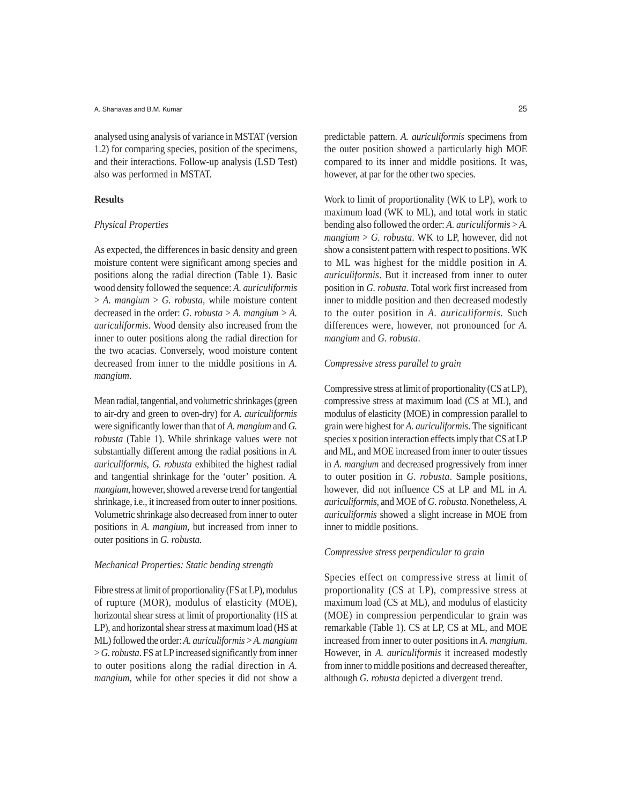analysed using analysis of variance in MSTAT (version 1.2) for comparing species, position of the specimens, and their interactions. Follow-up analysis (LSD Test) also was performed in MSTAT.

## **Results**

#### *Physical Properties*

As expected, the differences in basic density and green moisture content were significant among species and positions along the radial direction (Table 1). Basic wood density followed the sequence: *A. auriculiformis* > *A. mangium* > *G. robusta,* while moisture content decreased in the order: *G. robusta* > *A. mangium* > *A. auriculiformis*. Wood density also increased from the inner to outer positions along the radial direction for the two acacias. Conversely, wood moisture content decreased from inner to the middle positions in *A. mangium*.

Mean radial, tangential, and volumetric shrinkages (green to air-dry and green to oven-dry) for *A. auriculiformis* were significantly lower than that of *A. mangium* and *G. robusta* (Table 1). While shrinkage values were not substantially different among the radial positions in *A. auriculiformis*, *G. robusta* exhibited the highest radial and tangential shrinkage for the 'outer' position. *A. mangium*, however, showed a reverse trend for tangential shrinkage, i.e., it increased from outer to inner positions. Volumetric shrinkage also decreased from inner to outer positions in *A. mangium,* but increased from inner to outer positions in *G. robusta*.

### *Mechanical Properties: Static bending strength*

Fibre stress at limit of proportionality (FS at LP), modulus of rupture (MOR), modulus of elasticity (MOE), horizontal shear stress at limit of proportionality (HS at LP), and horizontal shear stress at maximum load (HS at ML) followed the order: *A. auriculiformis* > *A. mangium* > *G. robusta*. FS at LP increased significantly from inner to outer positions along the radial direction in *A. mangium*, while for other species it did not show a

predictable pattern. *A. auriculiformis* specimens from the outer position showed a particularly high MOE compared to its inner and middle positions. It was, however, at par for the other two species.

Work to limit of proportionality (WK to LP), work to maximum load (WK to ML), and total work in static bending also followed the order: *A. auriculiformis* > *A. mangium* > *G. robusta*. WK to LP, however, did not show a consistent pattern with respect to positions. WK to ML was highest for the middle position in *A. auriculiformis*. But it increased from inner to outer position in *G. robusta*. Total work first increased from inner to middle position and then decreased modestly to the outer position in *A. auriculiformis*. Such differences were, however, not pronounced for *A. mangium* and *G. robusta*.

### *Compressive stress parallel to grain*

Compressive stress at limit of proportionality (CS at LP), compressive stress at maximum load (CS at ML), and modulus of elasticity (MOE) in compression parallel to grain were highest for *A. auriculiformis*. The significant species x position interaction effects imply that CS at LP and ML, and MOE increased from inner to outer tissues in *A. mangium* and decreased progressively from inner to outer position in *G. robusta*. Sample positions, however, did not influence CS at LP and ML in *A. auriculiformis*, and MOE of *G. robusta*. Nonetheless, *A. auriculiformis* showed a slight increase in MOE from inner to middle positions.

## *Compressive stress perpendicular to grain*

Species effect on compressive stress at limit of proportionality (CS at LP), compressive stress at maximum load (CS at ML), and modulus of elasticity (MOE) in compression perpendicular to grain was remarkable (Table 1). CS at LP, CS at ML, and MOE increased from inner to outer positions in *A. mangium*. However, in *A. auriculiformis* it increased modestly from inner to middle positions and decreased thereafter, although *G. robusta* depicted a divergent trend.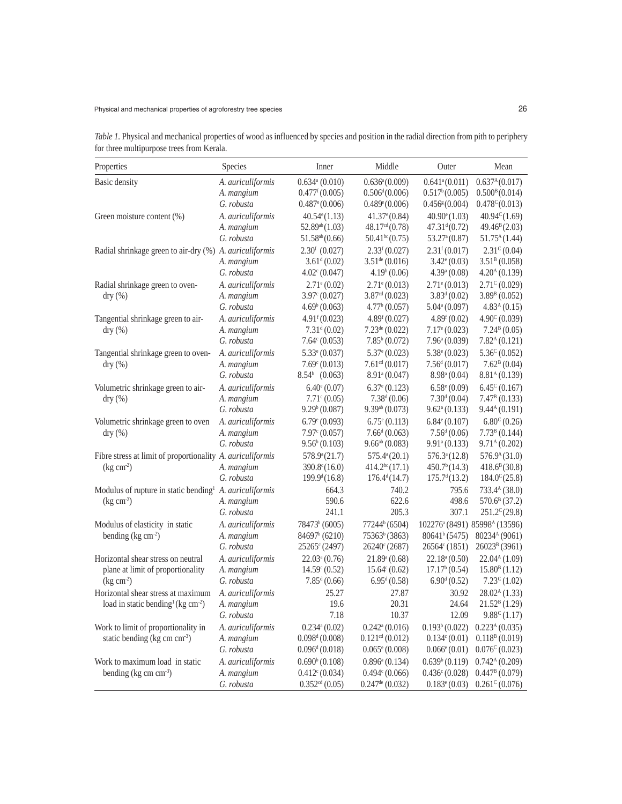*Table 1.* Physical and mechanical properties of wood as influenced by species and position in the radial direction from pith to periphery for three multipurpose trees from Kerala.

| Properties                                                          | Species           | Inner                          | Middle                         | Outer                                              | Mean                                                  |
|---------------------------------------------------------------------|-------------------|--------------------------------|--------------------------------|----------------------------------------------------|-------------------------------------------------------|
| Basic density                                                       | A. auriculiformis | $0.634$ <sup>a</sup> (0.010)   | $0.636^a(0.009)$               | $0.641$ <sup>a</sup> $(0.011)$                     | 0.637 <sup>A</sup> (0.017)                            |
|                                                                     | A. mangium        | $0.477$ <sup>f</sup> $(0.005)$ | $0.506^{d}(0.006)$             | 0.517 <sup>b</sup> (0.005)                         | 0.500 <sup>B</sup> (0.014)                            |
|                                                                     | G. robusta        | $0.487$ <sup>e</sup> $(0.006)$ | 0.489(0.006)                   | $0.456$ <sup><math>\epsilon</math></sup> $(0.004)$ | $0.478^{\circ}(0.013)$                                |
| Green moisture content (%)                                          | A. auriculiformis | $40.54^{\circ}(1.13)$          | $41.37^{\circ}(0.84)$          | $40.90^{\circ}(1.03)$                              | $40.94^{\circ}(1.69)$                                 |
|                                                                     | A. mangium        | $52.89^{ab}(1.03)$             | 48.17 <sup>cd</sup> (0.78)     | $47.31^{d}(0.72)$                                  | $49.46^{\rm B}(2.03)$                                 |
|                                                                     | G. robusta        | $51.58^{ab}(0.66)$             | $50.41^{bc}(0.75)$             | 53.27 <sup>a</sup> (0.87)                          | 51.75 <sup>A</sup> (1.44)                             |
| Radial shrinkage green to air-dry (%) A. auriculiformis             |                   | $2.30f$ (0.027)                | 2.33 <sup>f</sup> (0.027)      | 2.31 <sup>f</sup> (0.017)                          | $2.31^{\circ}$ (0.04)                                 |
|                                                                     | A. mangium        | 3.61 <sup>d</sup> (0.02)       | $3.51^{de} (0.016)$            | $3.42^{\circ} (0.03)$                              | 3.51 <sup>B</sup> (0.058)                             |
|                                                                     | G. robusta        | $4.02^{\circ}$ (0.047)         | 4.19 <sup>b</sup> (0.06)       | 4.39 <sup>a</sup> (0.08)                           | 4.20 <sup>A</sup> (0.139)                             |
| Radial shrinkage green to oven-                                     | A. auriculiformis | $2.71$ <sup>e</sup> (0.02)     | $2.71^{\circ} (0.013)$         | $2.71$ <sup>e</sup> (0.013)                        | $2.71^{\circ}$ (0.029)                                |
| dry(%)                                                              | A. mangium        | $3.97^{\circ} (0.027)$         | 3.87 <sup>cd</sup> (0.023)     | $3.83^d(0.02)$                                     | $3.89^{\rm B}$ (0.052)                                |
|                                                                     | G. robusta        | 4.69 <sup>b</sup> (0.063)      | 4.77 <sup>b</sup> (0.057)      | $5.04^{\mathrm{a}}(0.097)$                         | 4.83 <sup>A</sup> (0.15)                              |
| Tangential shrinkage green to air-                                  | A. auriculiformis | 4.91 <sup>f</sup> (0.023)      | 4.89 <sup>f</sup> (0.027)      | 4.89 <sup>f</sup> (0.02)                           | $4.90^{\circ}$ (0.039)                                |
| dry(%)                                                              | A. mangium        | 7.31 <sup>d</sup> (0.02)       | $7.23^{\text{de}}(0.022)$      | $7.17^{\circ} (0.023)$                             | $7.24^{\mathrm{B}}(0.05)$                             |
|                                                                     | G. robusta        | $7.64^{\circ} (0.053)$         | $7.85^b(0.072)$                | $7.96^{\mathrm{a}}(0.039)$                         | 7.82 <sup>A</sup> (0.121)                             |
| Tangential shrinkage green to oven-                                 | A. auriculiformis | $5.33^{\circ} (0.037)$         | $5.37^{\circ} (0.023)$         | $5.38^{\circ} (0.023)$                             | $5.36^{\circ} (0.052)$                                |
| dry(%)                                                              | A. mangium        | $7.69^{\circ} (0.013)$         | 7.61 <sup>cd</sup> (0.017)     | 7.56 <sup>d</sup> (0.017)                          | 7.62 <sup>B</sup> (0.04)                              |
|                                                                     | G. robusta        | $8.54b$ (0.063)                | $8.91$ <sup>a</sup> (0.047)    | 8.98 <sup>a</sup> (0.04)                           | 8.81 <sup>A</sup> (0.139)                             |
| Volumetric shrinkage green to air-                                  | A. auriculiformis | $6.40^{\circ}$ (0.07)          | $6.37^{\circ} (0.123)$         | $6.58^{\circ}$ (0.09)                              | $6.45^{\circ} (0.167)$                                |
| dry(%)                                                              | A. mangium        | $7.71^{\circ} (0.05)$          | 7.38 <sup>d</sup> (0.06)       | 7.30 <sup>d</sup> (0.04)                           | $7.47^{\rm B}$ (0.133)                                |
|                                                                     | G. robusta        | $9.29^{b} (0.087)$             | $9.39^{ab}$ (0.073)            | $9.62^{\mathrm{a}}(0.133)$                         | 9.44 <sup>A</sup> (0.191)                             |
| Volumetric shrinkage green to oven                                  | A. auriculiformis | $6.79^{\circ} (0.093)$         | $6.75^{\circ}$ (0.113)         | $6.84^{\circ} (0.107)$                             | $6.80^{\circ}$ (0.26)                                 |
| dry(%)                                                              | A. mangium        | $7.97^{\circ} (0.057)$         | 7.66 <sup>d</sup> (0.063)      | 7.56 <sup>d</sup> (0.06)                           | $7.73B$ (0.144)                                       |
|                                                                     | G. robusta        | $9.56^b(0.103)$                | $9.66^{ab}$ (0.083)            | 9.91 <sup>a</sup> (0.133)                          | 9.71 <sup>A</sup> (0.202)                             |
| Fibre stress at limit of proportionality A. auriculiformis          |                   | 578.9 <sup>a</sup> (21.7)      | $575.4^a(20.1)$                | $576.3^a(12.8)$                                    | $576.9^{A}(31.0)$                                     |
| (kg cm <sup>2</sup> )                                               | A. mangium        | $390.8^{\circ}(16.0)$          | 414.2 <sup>bc</sup> (17.1)     | 450.7 <sup>b</sup> (14.3)                          | $418.6^B(30.8)$                                       |
|                                                                     | G. robusta        | $199.9^d(16.8)$                | $176.4^d(14.7)$                | 175.7 <sup>d</sup> (13.2)                          | $184.0^{\circ}$ (25.8)                                |
| Modulus of rupture in static bending <sup>1</sup> A. auriculiformis |                   | 664.3                          | 740.2                          | 795.6                                              | 733.4 <sup>A</sup> (38.0)                             |
| (kg cm <sup>2</sup> )                                               | A. mangium        | 590.6                          | 622.6                          | 498.6                                              | $570.6^{\text{B}}(37.2)$                              |
|                                                                     | G. robusta        | 241.1                          | 205.3                          | 307.1                                              | $251.2^{\circ} (29.8)$                                |
| Modulus of elasticity in static                                     | A. auriculiformis | 78473 <sup>b</sup> (6005)      | 77244 <sup>b</sup> (6504)      |                                                    | 102276 <sup>a</sup> (8491) 85998 <sup>A</sup> (13596) |
| bending $(kg cm-2)$                                                 | A. mangium        | 84697 <sup>b</sup> (6210)      | 75363 <sup>b</sup> (3863)      | 80641 <sup>b</sup> (5475)                          | 80234 <sup>A</sup> (9061)                             |
|                                                                     | G. robusta        | 25265 <sup>c</sup> (2497)      | $26240^{\circ} (2687)$         | $26564^{\circ} (1851)$                             | 26023 <sup>B</sup> (3961)                             |
| Horizontal shear stress on neutral                                  | A. auriculiformis | $22.03^a(0.76)$                | $21.89^{\mathrm{a}}(0.68)$     | 22.18 <sup>a</sup> (0.50)                          | 22.04 <sup>A</sup> (1.09)                             |
| plane at limit of proportionality                                   | A. mangium        | $14.59^{\circ} (0.52)$         | $15.64^{\circ} (0.62)$         | 17.17 <sup>b</sup> (0.54)                          | 15.80 <sup>B</sup> (1.12)                             |
| $(\text{kg cm}^2)$                                                  | G. robusta        | $7.85^{\text{d}}(0.66)$        | $6.95^{\text{d}}(0.58)$        | 6.90 <sup>d</sup> (0.52)                           | $7.23^{\circ}(1.02)$                                  |
| Horizontal shear stress at maximum                                  | A. auriculiformis | 25.27                          | 27.87                          | 30.92                                              | $28.02A$ (1.33)                                       |
| load in static bending <sup>1</sup> (kg cm <sup>-2</sup> )          | A. mangium        | 19.6                           | 20.31                          | 24.64                                              | $21.52^B(1.29)$                                       |
|                                                                     | G. robusta        | 7.18                           | 10.37                          | 12.09                                              | $9.88^{\circ}$ (1.17)                                 |
| Work to limit of proportionality in                                 | A. auriculiformis | $0.234$ <sup>a</sup> $(0.02)$  | $0.242$ <sup>a</sup> $(0.016)$ | 0.193 <sup>b</sup> (0.022)                         | 0.223 <sup>A</sup> (0.035)                            |
| static bending (kg cm cm <sup>-3</sup> )                            | A. mangium        | 0.098 <sup>d</sup> (0.008)     | $0.121$ <sup>cd</sup> (0.012)  | $0.134^{\circ}(0.01)$                              | 0.118 <sup>B</sup> (0.019)                            |
|                                                                     | G. robusta        | 0.096 <sup>d</sup> (0.018)     | $0.065^{\circ} (0.008)$        | $0.066$ <sup>e</sup> $(0.01)$                      | $0.076^{\circ}(0.023)$                                |
| Work to maximum load in static                                      | A. auriculiformis | 0.690 <sup>b</sup> (0.108)     | $0.896^{\mathrm{a}}(0.134)$    | 0.639 <sup>b</sup> (0.119)                         | 0.742 <sup>A</sup> (0.209)                            |
| bending (kg cm cm <sup>-3</sup> )                                   | A. mangium        | 0.412c(0.034)                  | $0.494^{\circ} (0.066)$        | 0.436c(0.028)                                      | 0.447B(0.079)                                         |
|                                                                     | G. robusta        | 0.352 <sup>cd</sup> (0.05)     | $0.247$ <sup>de</sup> (0.032)  | $0.183^{\circ}(0.03)$                              | $0.261^{\circ}(0.076)$                                |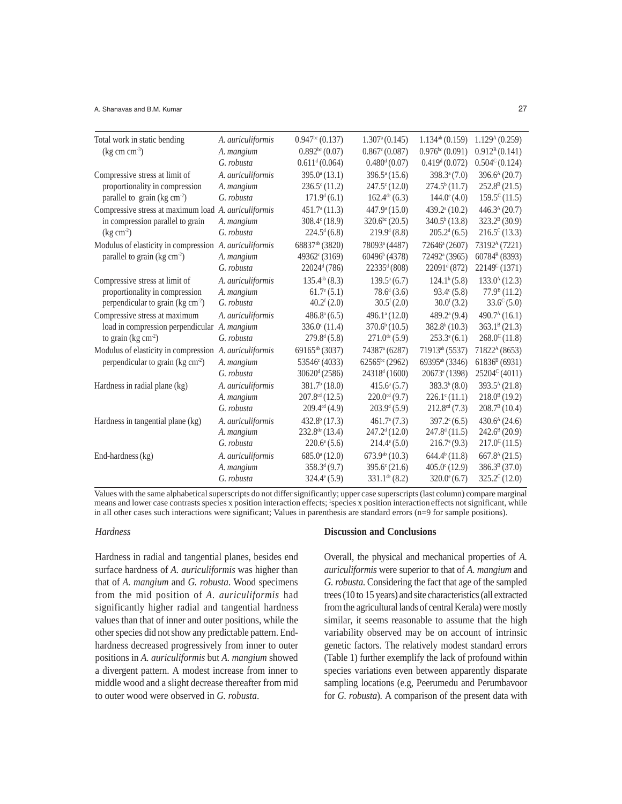#### A. Shanavas and B.M. Kumar 27

| Total work in static bending                           | A. auriculiformis | 0.947 <sup>bc</sup> (0.137) | 1.307 <sup>a</sup> (0.145)  | $1.134^{ab}$ (0.159)        | 1.129 <sup>A</sup> (0.259) |
|--------------------------------------------------------|-------------------|-----------------------------|-----------------------------|-----------------------------|----------------------------|
| $(kg cm cm-3)$                                         | A. mangium        | 0.892 <sup>bc</sup> (0.07)  | $0.867^{\circ} (0.087)$     | 0.976 <sup>bc</sup> (0.091) | $0.912^{B}(0.141)$         |
|                                                        | G. robusta        | 0.611 <sup>d</sup> (0.064)  | $0.480^{d} (0.07)$          | 0.419 <sup>d</sup> (0.072)  | $0.504^{\circ} (0.124)$    |
| Compressive stress at limit of                         | A. auriculiformis | $395.0^{\circ}$ (13.1)      | $396.5^{\mathrm{a}}(15.6)$  | $398.3^{\mathrm{a}}(7.0)$   | 396.6 <sup>A</sup> (20.7)  |
| proportionality in compression                         | A. mangium        | $236.5^{\circ}$ (11.2)      | $247.5^{\circ}$ (12.0)      | $274.5^b(11.7)$             | $252.8^B(21.5)$            |
| parallel to grain ( $kg \text{ cm}^{-2}$ )             | G. robusta        | 171.9 <sup>d</sup> (6.1)    | $162.4^{\text{de}}(6.3)$    | $144.0^{\circ}$ (4.0)       | $159.5^{\circ}(11.5)$      |
| Compressive stress at maximum load A. auriculiformis   |                   | $451.7a$ (11.3)             | $447.9^{\circ} (15.0)$      | $439.2^{\mathrm{a}}(10.2)$  | 446.3 <sup>A</sup> (20.7)  |
| in compression parallel to grain                       | A. mangium        | $308.4^{\circ}$ (18.9)      | $320.6^{bc}$ (20.5)         | $340.5^b(13.8)$             | $323.2^B(30.9)$            |
| $(kg cm-2)$                                            | G. robusta        | $224.5^d(6.8)$              | 219.9 <sup>d</sup> (8.8)    | $205.2^d(6.5)$              | $216.5^{\circ}(13.3)$      |
| Modulus of elasticity in compression A. auriculiformis |                   | 68837 <sup>ab</sup> (3820)  | 78093 <sup>a</sup> (4487)   | 72646 <sup>a</sup> (2607)   | 73192 <sup>A</sup> (7221)  |
| parallel to grain (kg cm <sup>-2</sup> )               | A. mangium        | 49362 <sup>c</sup> (3169)   | 60496 <sup>b</sup> (4378)   | 72492 <sup>a</sup> (3965)   | 60784 <sup>B</sup> (8393)  |
|                                                        | G. robusta        | $22024^d(786)$              | $22335^d (808)$             | 22091 <sup>d</sup> (872)    | $22149^{\circ}(1371)$      |
| Compressive stress at limit of                         | A. auriculiformis | $135.4^{ab}$ (8.3)          | $139.5^{\mathrm{a}}(6.7)$   | $124.1^b(5.8)$              | $133.0A$ (12.3)            |
| proportionality in compression                         | A. mangium        | $61.7^{\circ} (5.1)$        | $78.6^{\mathrm{d}}(3.6)$    | $93.4^{\circ}$ (5.8)        | 77.9 <sup>B</sup> (11.2)   |
| perpendicular to grain (kg cm <sup>2</sup> )           | G. robusta        | 40.2 <sup>f</sup> (2.0)     | $30.5^{\rm f}(2.0)$         | $30.0^{\rm f}(3.2)$         | $33.6^{\circ}(5.0)$        |
| Compressive stress at maximum                          | A. auriculiformis | $486.8^{\mathrm{a}}(6.5)$   | 496.1 <sup>a</sup> (12.0)   | $489.2^{\mathrm{a}}(9.4)$   | 490.7 <sup>A</sup> (16.1)  |
| load in compression perpendicular A. mangium           |                   | $336.0^{\circ}$ (11.4)      | 370.6 <sup>b</sup> (10.5)   | 382.8 <sup>b</sup> (10.3)   | $363.1^B(21.3)$            |
| to grain $(kg cm2)$                                    | G. robusta        | 279.8 <sup>d</sup> (5.8)    | $271.0^{\text{de}}(5.9)$    | $253.3^{\circ}(6.1)$        | $268.0^{\circ}$ (11.8)     |
| Modulus of elasticity in compression A. auriculiformis |                   | 69165 <sup>ab</sup> (3037)  | 74387 <sup>a</sup> (6287)   | 71913ab (5537)              | 71822 <sup>A</sup> (8653)  |
| perpendicular to grain (kg cm <sup>-2</sup> )          | A. mangium        | 53546 <sup>c</sup> (4033)   | $62565^{\rm bc}$ (2962)     | 69395 <sup>ab</sup> (3346)  | $61836^B(6931)$            |
|                                                        | G. robusta        | $30620^{\rm d}$ (2586)      | 24318 <sup>d</sup> (1600)   | $20673^{\circ}$ (1398)      | 25204 <sup>c</sup> (4011)  |
| Hardness in radial plane (kg)                          | A. auriculiformis | $381.7b$ (18.0)             | $415.6^{\mathrm{a}}(5.7)$   | $383.3^{b}$ (8.0)           | $393.5^{\text{A}}(21.8)$   |
|                                                        | A. mangium        | $207.8cd$ (12.5)            | $220.0$ <sup>cd</sup> (9.7) | $226.1^{\circ}(11.1)$       | $218.0^{B}$ (19.2)         |
|                                                        | G. robusta        | 209.4 <sup>cd</sup> (4.9)   | 203.9 <sup>d</sup> (5.9)    | $212.8^{\text{cd}}(7.3)$    | $208.7^B(10.4)$            |
| Hardness in tangential plane (kg)                      | A. auriculiformis | $432.8^b(17.3)$             | $461.7^{\circ}$ (7.3)       | $397.2^{\circ}(6.5)$        | 430.6 <sup>A</sup> (24.6)  |
|                                                        | A. mangium        | 232.8 <sup>de</sup> (13.4)  | 247.2 <sup>d</sup> (12.0)   | 247.8 <sup>d</sup> (11.5)   | $242.6^{\rm B}$ (20.9)     |
|                                                        | G. robusta        | $220.6^{\circ}$ (5.6)       | $214.4^{\circ}(5.0)$        | $216.7^{\circ}(9.3)$        | $217.0^{\circ}(11.5)$      |
| End-hardness (kg)                                      | A. auriculiformis | $685.0^a(12.0)$             | 673.9 <sup>ab</sup> (10.3)  | $644.4^b(11.8)$             | 667.8 <sup>A</sup> (21.5)  |
|                                                        | A. mangium        | $358.3^{d}$ (9.7)           | $395.6^{\circ}$ (21.6)      | $405.0^{\circ}$ (12.9)      | $386.3^B(37.0)$            |
|                                                        | G. robusta        | $324.4^{\circ} (5.9)$       | $331.1^{\text{de}}(8.2)$    | $320.0^{\circ}$ (6.7)       | $325.2^{\circ}$ (12.0)     |

Values with the same alphabetical superscripts do not differ significantly; upper case superscripts (last column) compare marginal means and lower case contrasts species x position interaction effects; 'species x position interaction effects not significant, while in all other cases such interactions were significant; Values in parenthesis are standard errors (n=9 for sample positions).

## *Hardness*

Hardness in radial and tangential planes, besides end surface hardness of *A. auriculiformis* was higher than that of *A. mangium* and *G. robusta*. Wood specimens from the mid position of *A. auriculiformis* had significantly higher radial and tangential hardness values than that of inner and outer positions, while the other species did not show any predictable pattern. Endhardness decreased progressively from inner to outer positions in *A. auriculiformis* but *A. mangium* showed a divergent pattern. A modest increase from inner to middle wood and a slight decrease thereafter from mid to outer wood were observed in *G. robusta*.

## **Discussion and Conclusions**

Overall, the physical and mechanical properties of *A. auriculiformis* were superior to that of *A. mangium* and *G. robusta*. Considering the fact that age of the sampled trees (10 to 15 years) and site characteristics (all extracted from the agricultural lands of central Kerala) were mostly similar, it seems reasonable to assume that the high variability observed may be on account of intrinsic genetic factors. The relatively modest standard errors (Table 1) further exemplify the lack of profound within species variations even between apparently disparate sampling locations (e.g, Peerumedu and Perumbavoor for *G. robusta*). A comparison of the present data with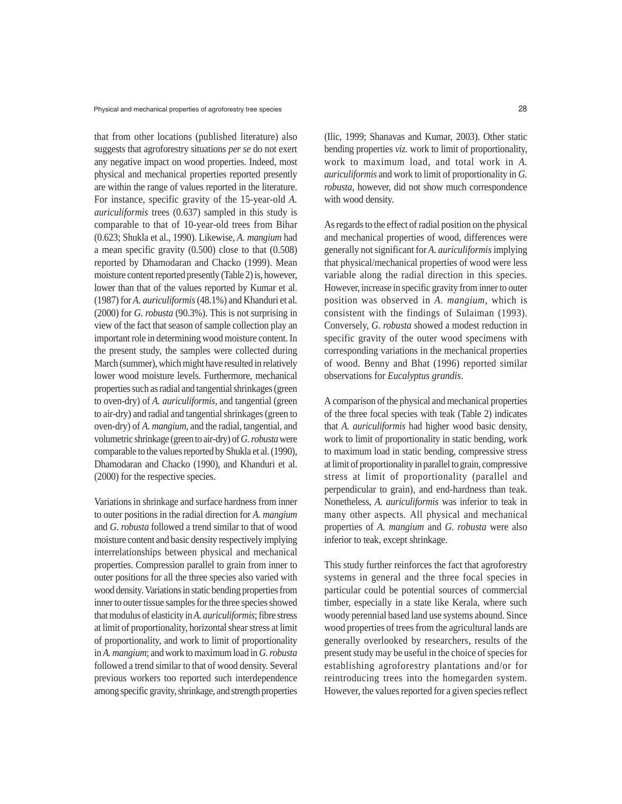that from other locations (published literature) also suggests that agroforestry situations *per se* do not exert any negative impact on wood properties. Indeed, most physical and mechanical properties reported presently are within the range of values reported in the literature. For instance, specific gravity of the 15-year-old *A. auriculiformis* trees (0.637) sampled in this study is comparable to that of 10-year-old trees from Bihar (0.623; Shukla et al., 1990). Likewise, *A. mangium* had a mean specific gravity (0.500) close to that (0.508) reported by Dhamodaran and Chacko (1999). Mean moisture content reported presently (Table 2) is, however, lower than that of the values reported by Kumar et al. (1987) for *A. auriculiformis* (48.1%) and Khanduri et al. (2000) for *G. robusta* (90.3%). This is not surprising in view of the fact that season of sample collection play an important role in determining wood moisture content. In the present study, the samples were collected during March (summer), which might have resulted in relatively lower wood moisture levels. Furthermore, mechanical properties such as radial and tangential shrinkages (green to oven-dry) of *A. auriculiformis,* and tangential (green to air-dry) and radial and tangential shrinkages (green to oven-dry) of *A. mangium,* and the radial, tangential, and volumetric shrinkage (green to air-dry) of *G. robusta* were comparable to the values reported by Shukla et al. (1990), Dhamodaran and Chacko (1990), and Khanduri et al. (2000) for the respective species.

Variations in shrinkage and surface hardness from inner to outer positions in the radial direction for *A. mangium* and *G. robusta* followed a trend similar to that of wood moisture content and basic density respectively implying interrelationships between physical and mechanical properties. Compression parallel to grain from inner to outer positions for all the three species also varied with wood density. Variations in static bending properties from inner to outer tissue samples for the three species showed that modulus of elasticity in *A. auriculiformis*; fibre stress at limit of proportionality, horizontal shear stress at limit of proportionality, and work to limit of proportionality in *A. mangium*; and work to maximum load in *G. robusta* followed a trend similar to that of wood density. Several previous workers too reported such interdependence among specific gravity, shrinkage, and strength properties (Ilic, 1999; Shanavas and Kumar, 2003). Other static bending properties *viz.* work to limit of proportionality, work to maximum load, and total work in *A. auriculiformis* and work to limit of proportionality in *G. robusta*, however, did not show much correspondence with wood density.

As regards to the effect of radial position on the physical and mechanical properties of wood, differences were generally not significant for *A. auriculiformis* implying that physical/mechanical properties of wood were less variable along the radial direction in this species. However, increase in specific gravity from inner to outer position was observed in *A. mangium,* which is consistent with the findings of Sulaiman (1993). Conversely, *G. robusta* showed a modest reduction in specific gravity of the outer wood specimens with corresponding variations in the mechanical properties of wood. Benny and Bhat (1996) reported similar observations for *Eucalyptus grandis*.

A comparison of the physical and mechanical properties of the three focal species with teak (Table 2) indicates that *A. auriculiformis* had higher wood basic density, work to limit of proportionality in static bending, work to maximum load in static bending, compressive stress at limit of proportionality in parallel to grain, compressive stress at limit of proportionality (parallel and perpendicular to grain), and end-hardness than teak. Nonetheless, *A. auriculiformis* was inferior to teak in many other aspects. All physical and mechanical properties of *A. mangium* and *G. robusta* were also inferior to teak, except shrinkage.

This study further reinforces the fact that agroforestry systems in general and the three focal species in particular could be potential sources of commercial timber, especially in a state like Kerala, where such woody perennial based land use systems abound. Since wood properties of trees from the agricultural lands are generally overlooked by researchers, results of the present study may be useful in the choice of species for establishing agroforestry plantations and/or for reintroducing trees into the homegarden system. However, the values reported for a given species reflect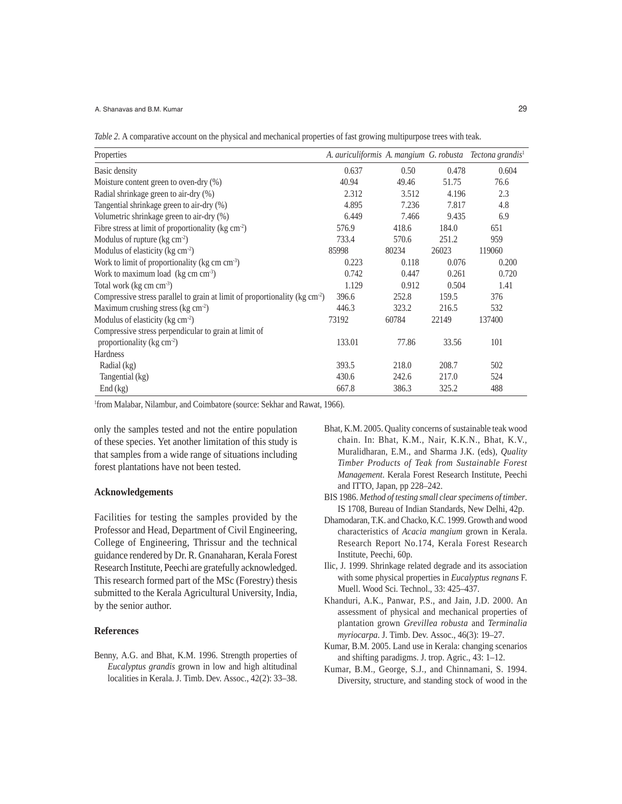#### A. Shanavas and B.M. Kumar

*Table 2.* A comparative account on the physical and mechanical properties of fast growing multipurpose trees with teak.

| Properties                                                                             | A. auriculiformis A. mangium G. robusta Tectona grandis <sup>1</sup> |       |       |        |
|----------------------------------------------------------------------------------------|----------------------------------------------------------------------|-------|-------|--------|
| Basic density                                                                          | 0.637                                                                | 0.50  | 0.478 | 0.604  |
| Moisture content green to oven-dry (%)                                                 | 40.94                                                                | 49.46 | 51.75 | 76.6   |
| Radial shrinkage green to air-dry (%)                                                  | 2.312                                                                | 3.512 | 4.196 | 2.3    |
| Tangential shrinkage green to air-dry (%)                                              | 4.895                                                                | 7.236 | 7.817 | 4.8    |
| Volumetric shrinkage green to air-dry (%)                                              | 6.449                                                                | 7.466 | 9.435 | 6.9    |
| Fibre stress at limit of proportionality ( $kg \text{ cm}^{-2}$ )                      | 576.9                                                                | 418.6 | 184.0 | 651    |
| Modulus of rupture $(kg cm-2)$                                                         | 733.4                                                                | 570.6 | 251.2 | 959    |
| Modulus of elasticity (kg cm <sup>-2</sup> )                                           | 85998                                                                | 80234 | 26023 | 119060 |
| Work to limit of proportionality ( $kg \text{ cm cm}^{-3}$ )                           | 0.223                                                                | 0.118 | 0.076 | 0.200  |
| Work to maximum load ( $kg \text{ cm cm}^{-3}$ )                                       | 0.742                                                                | 0.447 | 0.261 | 0.720  |
| Total work (kg cm cm <sup>-3</sup> )                                                   | 1.129                                                                | 0.912 | 0.504 | 1.41   |
| Compressive stress parallel to grain at limit of proportionality ( $kg \text{ cm}^2$ ) | 396.6                                                                | 252.8 | 159.5 | 376    |
| Maximum crushing stress (kg $\text{cm}^{-2}$ )                                         | 446.3                                                                | 323.2 | 216.5 | 532    |
| Modulus of elasticity ( $kg \text{ cm}^{-2}$ )                                         | 73192                                                                | 60784 | 22149 | 137400 |
| Compressive stress perpendicular to grain at limit of                                  |                                                                      |       |       |        |
| proportionality ( $kg \text{ cm}^{-2}$ )                                               | 133.01                                                               | 77.86 | 33.56 | 101    |
| Hardness                                                                               |                                                                      |       |       |        |
| Radial (kg)                                                                            | 393.5                                                                | 218.0 | 208.7 | 502    |
| Tangential (kg)                                                                        | 430.6                                                                | 242.6 | 217.0 | 524    |
| End (kg)                                                                               | 667.8                                                                | 386.3 | 325.2 | 488    |

1 from Malabar, Nilambur, and Coimbatore (source: Sekhar and Rawat, 1966).

only the samples tested and not the entire population of these species. Yet another limitation of this study is that samples from a wide range of situations including forest plantations have not been tested.

### **Acknowledgements**

Facilities for testing the samples provided by the Professor and Head, Department of Civil Engineering, College of Engineering, Thrissur and the technical guidance rendered by Dr. R. Gnanaharan, Kerala Forest Research Institute, Peechi are gratefully acknowledged. This research formed part of the MSc (Forestry) thesis submitted to the Kerala Agricultural University, India, by the senior author.

# **References**

Benny, A.G. and Bhat, K.M. 1996. Strength properties of *Eucalyptus grandis* grown in low and high altitudinal localities in Kerala. J. Timb. Dev. Assoc., 42(2): 33–38.

- Bhat, K.M. 2005. Quality concerns of sustainable teak wood chain. In: Bhat, K.M., Nair, K.K.N., Bhat, K.V., Muralidharan, E.M., and Sharma J.K. (eds), *Quality Timber Products of Teak from Sustainable Forest Management*. Kerala Forest Research Institute, Peechi and ITTO, Japan, pp 228–242.
- BIS 1986. *Method of testing small clear specimens of timber*. IS 1708, Bureau of Indian Standards, New Delhi, 42p.
- Dhamodaran, T.K. and Chacko, K.C. 1999. Growth and wood characteristics of *Acacia mangium* grown in Kerala. Research Report No.174, Kerala Forest Research Institute, Peechi, 60p.
- Ilic, J. 1999. Shrinkage related degrade and its association with some physical properties in *Eucalyptus regnans* F. Muell. Wood Sci. Technol., 33: 425–437.
- Khanduri, A.K., Panwar, P.S., and Jain, J.D. 2000. An assessment of physical and mechanical properties of plantation grown *Grevillea robusta* and *Terminalia myriocarpa*. J. Timb. Dev. Assoc., 46(3): 19–27.
- Kumar, B.M. 2005. Land use in Kerala: changing scenarios and shifting paradigms. J. trop. Agric., 43: 1–12.
- Kumar, B.M., George, S.J., and Chinnamani, S. 1994. Diversity, structure, and standing stock of wood in the